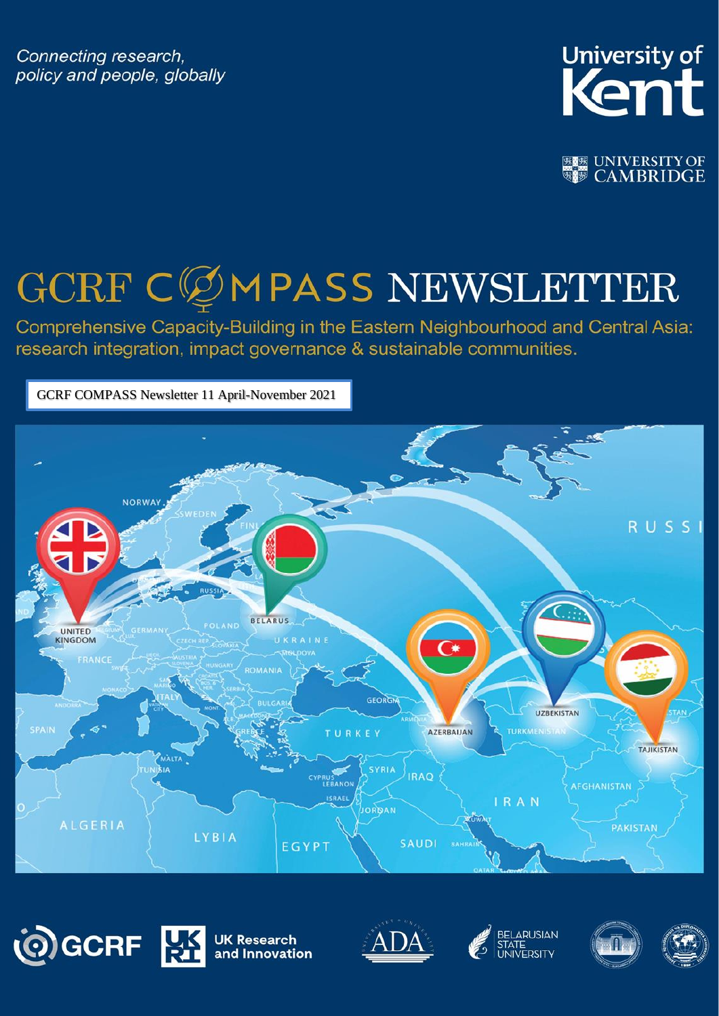Connecting research, policy and people, globally



**| 感感 UNIVERSITY OF WE CAMBRIDGE** 

# GCRF CØMPASS NEWSLETTER

Comprehensive Capacity-Building in the Eastern Neighbourhood and Central Asia: research integration, impact governance & sustainable communities.

GCRF COMPASS Newsletter 11 April-November 2021











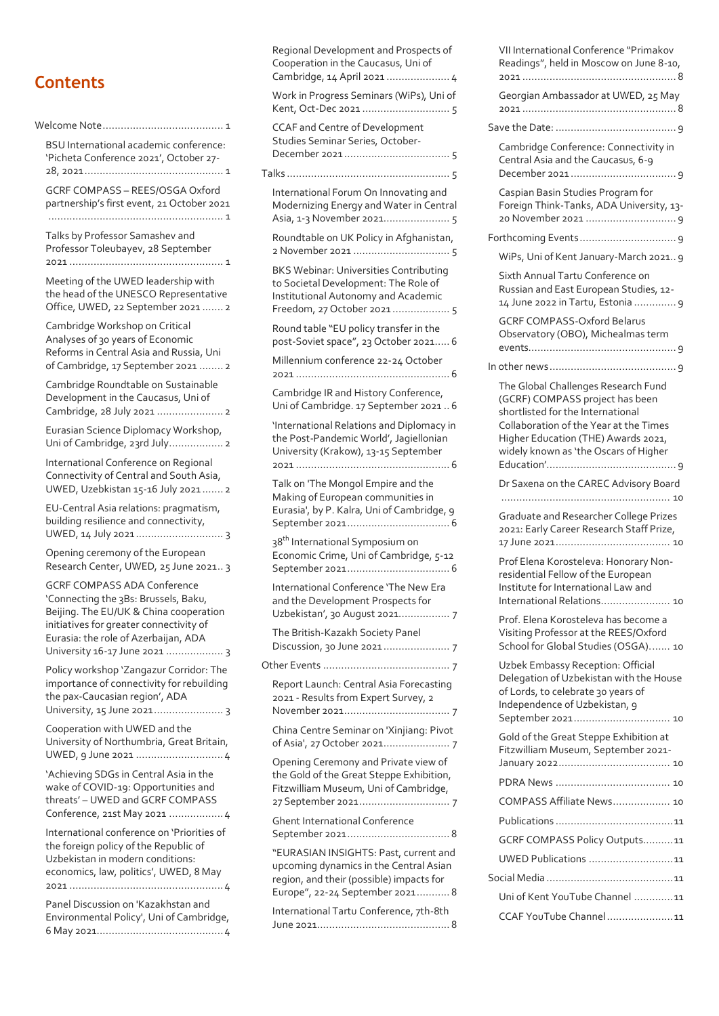#### **Contents**

| Welcome Note<br>$\ldots$ 1                                                                                                                                                                                                               |
|------------------------------------------------------------------------------------------------------------------------------------------------------------------------------------------------------------------------------------------|
| <b>BSU</b> International academic conference:<br>'Picheta Conference 2021', October 27-                                                                                                                                                  |
| GCRF COMPASS - REES/OSGA Oxford<br>partnership's first event, 21 October 2021<br>. 1                                                                                                                                                     |
| Talks by Professor Samashev and<br>Professor Toleubayev, 28 September<br>$2021$<br>.<br>. 1                                                                                                                                              |
| Meeting of the UWED leadership with<br>the head of the UNESCO Representative<br>Office, UWED, 22 September 2021  2                                                                                                                       |
| Cambridge Workshop on Critical<br>Analyses of 30 years of Economic<br>Reforms in Central Asia and Russia, Uni<br>of Cambridge, 17 September 2021  2                                                                                      |
| Cambridge Roundtable on Sustainable<br>Development in the Caucasus, Uni of<br>Cambridge, 28 July 2021  2                                                                                                                                 |
| Eurasian Science Diplomacy Workshop,<br>Uni of Cambridge, 23rd July 2                                                                                                                                                                    |
| International Conference on Regional<br>Connectivity of Central and South Asia,<br>UWED, Uzebkistan 15-16 July 2021  2                                                                                                                   |
| EU-Central Asia relations: pragmatism,<br>building resilience and connectivity,                                                                                                                                                          |
| Opening ceremony of the European<br>Research Center, UWED, 25 June 2021 3                                                                                                                                                                |
| <b>GCRF COMPASS ADA Conference</b><br>'Connecting the 3Bs: Brussels, Baku,<br>Beijing. The EU/UK & China cooperation<br>initiatives for greater connectivity of<br>Eurasia: the role of Azerbaijan, ADA<br>University 16-17 June 2021  3 |
| Policy workshop 'Zangazur Corridor: The<br>importance of connectivity for rebuilding<br>the pax-Caucasian region', ADA<br>University, 15 June 2021 3                                                                                     |
| Cooperation with UWED and the<br>University of Northumbria, Great Britain,                                                                                                                                                               |
| 'Achieving SDGs in Central Asia in the<br>wake of COVID-19: Opportunities and<br>threats' - UWED and GCRF COMPASS<br>Conference, 21st May 2021  4                                                                                        |
| International conference on 'Priorities of<br>the foreign policy of the Republic of<br>Uzbekistan in modern conditions:<br>economics, law, politics', UWED, 8 May                                                                        |
| Panel Discussion on 'Kazakhstan and<br>Environmental Policy', Uni of Cambridge,                                                                                                                                                          |

|  | Regional Development and Prospects of<br>Cooperation in the Caucasus, Uni of<br>Cambridge, 14 April 2021  4                                                    |  |
|--|----------------------------------------------------------------------------------------------------------------------------------------------------------------|--|
|  | Work in Progress Seminars (WiPs), Uni of                                                                                                                       |  |
|  | <b>CCAF and Centre of Development</b><br>Studies Seminar Series, October-                                                                                      |  |
|  |                                                                                                                                                                |  |
|  | International Forum On Innovating and<br>Modernizing Energy and Water in Central<br>Asia, 1-3 November 2021 5                                                  |  |
|  | Roundtable on UK Policy in Afghanistan,                                                                                                                        |  |
|  | BKS Webinar: Universities Contributing<br>to Societal Development: The Role of<br>Institutional Autonomy and Academic<br>Freedom, 27 October 2021 5            |  |
|  | Round table "EU policy transfer in the<br>post-Soviet space", 23 October 2021 6                                                                                |  |
|  | Millennium conference 22-24 October                                                                                                                            |  |
|  | Cambridge IR and History Conference,<br>Uni of Cambridge. 17 September 2021 6                                                                                  |  |
|  | 'International Relations and Diplomacy in<br>the Post-Pandemic World', Jagiellonian<br>University (Krakow), 13-15 September                                    |  |
|  | Talk on 'The Mongol Empire and the<br>Making of European communities in<br>Eurasia', by P. Kalra, Uni of Cambridge, 9                                          |  |
|  | 38 <sup>th</sup> International Symposium on<br>Economic Crime, Uni of Cambridge, 5-12                                                                          |  |
|  | International Conference 'The New Era<br>and the Development Prospects for<br>Uzbekistan', 30 August 2021 7                                                    |  |
|  | The British-Kazakh Society Panel                                                                                                                               |  |
|  |                                                                                                                                                                |  |
|  | Report Launch: Central Asia Forecasting<br>2021 - Results from Expert Survey, 2                                                                                |  |
|  | China Centre Seminar on 'Xinjiang: Pivot                                                                                                                       |  |
|  | Opening Ceremony and Private view of<br>the Gold of the Great Steppe Exhibition,<br>Fitzwilliam Museum, Uni of Cambridge,                                      |  |
|  | <b>Ghent International Conference</b>                                                                                                                          |  |
|  | "EURASIAN INSIGHTS: Past, current and<br>upcoming dynamics in the Central Asian<br>region, and their (possible) impacts for<br>Europe", 22-24 September 2021 8 |  |
|  | International Tartu Conference, 7th-8th                                                                                                                        |  |

| VII International Conference "Primakov<br>Readings", held in Moscow on June 8-10,                                                                                                                                                     |  |  |
|---------------------------------------------------------------------------------------------------------------------------------------------------------------------------------------------------------------------------------------|--|--|
| Georgian Ambassador at UWED, 25 May                                                                                                                                                                                                   |  |  |
|                                                                                                                                                                                                                                       |  |  |
| Cambridge Conference: Connectivity in<br>Central Asia and the Caucasus, 6-9                                                                                                                                                           |  |  |
| Caspian Basin Studies Program for<br>Foreign Think-Tanks, ADA University, 13-                                                                                                                                                         |  |  |
|                                                                                                                                                                                                                                       |  |  |
| WiPs, Uni of Kent January-March 2021 9                                                                                                                                                                                                |  |  |
| Sixth Annual Tartu Conference on<br>Russian and East European Studies, 12-<br>14 June 2022 in Tartu, Estonia  9<br><b>GCRF COMPASS-Oxford Belarus</b>                                                                                 |  |  |
| Observatory (OBO), Michealmas term                                                                                                                                                                                                    |  |  |
|                                                                                                                                                                                                                                       |  |  |
| The Global Challenges Research Fund<br>(GCRF) COMPASS project has been<br>shortlisted for the International<br>Collaboration of the Year at the Times<br>Higher Education (THE) Awards 2021,<br>widely known as 'the Oscars of Higher |  |  |
| Dr Saxena on the CAREC Advisory Board                                                                                                                                                                                                 |  |  |
|                                                                                                                                                                                                                                       |  |  |
| Graduate and Researcher College Prizes<br>2021: Early Career Research Staff Prize,                                                                                                                                                    |  |  |
| Prof Elena Korosteleva: Honorary Non-<br>residential Fellow of the European<br>Institute for International Law and<br>International Relations 10                                                                                      |  |  |
| Prof. Elena Korosteleva has become a<br>Visiting Professor at the REES/Oxford<br>School for Global Studies (OSGA) 10                                                                                                                  |  |  |
| Uzbek Embassy Reception: Official<br>Delegation of Uzbekistan with the House<br>of Lords, to celebrate 30 years of<br>Independence of Uzbekistan, 9<br>September 2021 10                                                              |  |  |
| Gold of the Great Steppe Exhibition at<br>Fitzwilliam Museum, September 2021-                                                                                                                                                         |  |  |
|                                                                                                                                                                                                                                       |  |  |
| COMPASS Affiliate News 10                                                                                                                                                                                                             |  |  |
|                                                                                                                                                                                                                                       |  |  |
| GCRF COMPASS Policy Outputs11                                                                                                                                                                                                         |  |  |
| UWED Publications 11                                                                                                                                                                                                                  |  |  |
|                                                                                                                                                                                                                                       |  |  |
| Uni of Kent YouTube Channel 11                                                                                                                                                                                                        |  |  |
| CCAF YouTube Channel11                                                                                                                                                                                                                |  |  |
|                                                                                                                                                                                                                                       |  |  |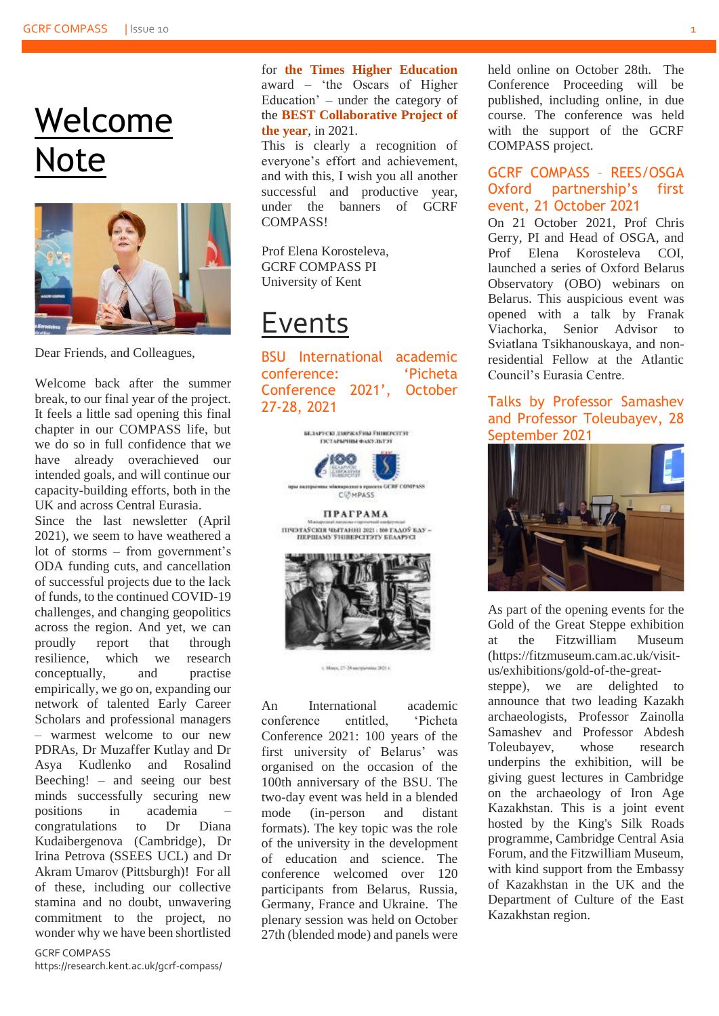### Welcome Note



Dear Friends, and Colleagues,

Welcome back after the summer break, to our final year of the project. It feels a little sad opening this final chapter in our COMPASS life, but we do so in full confidence that we have already overachieved our intended goals, and will continue our capacity-building efforts, both in the UK and across Central Eurasia.

Since the last newsletter (April 2021), we seem to have weathered a lot of storms – from government's ODA funding cuts, and cancellation of successful projects due to the lack of funds, to the continued COVID-19 challenges, and changing geopolitics across the region. And yet, we can proudly report that through resilience, which we research conceptually, and practise empirically, we go on, expanding our network of talented Early Career Scholars and professional managers – warmest welcome to our new PDRAs, Dr Muzaffer Kutlay and Dr Asya Kudlenko and Rosalind Beeching! – and seeing our best minds successfully securing new positions in academia – congratulations to Dr Diana Kudaibergenova (Cambridge), Dr Irina Petrova (SSEES UCL) and Dr Akram Umarov (Pittsburgh)! For all of these, including our collective stamina and no doubt, unwavering commitment to the project, no wonder why we have been shortlisted

GCRF COMPASS

https://research.kent.ac.uk/gcrf-compass/

for **[the Times Higher Education](https://the-awards.co.uk/2021/en/page/shortlist)** award – 'the Oscars of Higher Education' – under the category of the **BEST Collaborative Project of the year**, in 2021.

This is clearly a recognition of everyone's effort and achievement, and with this, I wish you all another successful and productive year, under the banners of GCRF **COMPASS!** 

Prof Elena Korosteleva, GCRF COMPASS PI University of Kent

### Events

BSU International academic conference: 'Picheta Conference 2021', October 27-28, 2021



1. Moon, 27-28 encrywering 2021.

An International academic conference entitled, 'Picheta Conference 2021: 100 years of the first university of Belarus' was organised on the occasion of the 100th anniversary of the BSU. The two-day event was held in a blended mode (in-person and distant formats). The key topic was the role of the university in the development of education and science. The conference welcomed over 120 participants from Belarus, Russia, Germany, France and Ukraine. The plenary session was held on October 27th (blended mode) and panels were held online on October 28th. The Conference Proceeding will be published, including online, in due course. The conference was held with the support of the GCRF COMPASS project.

#### GCRF COMPASS – REES/OSGA Oxford partnership's first event, 21 October 2021

On 21 October 2021, Prof Chris Gerry, PI and Head of OSGA, and Prof Elena Korosteleva COI, launched a series of Oxford Belarus Observatory (OBO) webinars on Belarus. This auspicious event was opened with a talk by Franak Viachorka, Senior Advisor to Sviatlana Tsikhanouskaya, and nonresidential Fellow at the Atlantic Council's Eurasia Centre.

#### Talks by Professor Samashev and Professor Toleubayev, 28 September 2021



As part of the opening events for the Gold of the Great Steppe exhibition at the Fitzwilliam Museum [\(https://fitzmuseum.cam.ac.uk/visit](https://fitzmuseum.cam.ac.uk/visit-us/exhibitions/gold-of-the-great-steppe)[us/exhibitions/gold-of-the-great-](https://fitzmuseum.cam.ac.uk/visit-us/exhibitions/gold-of-the-great-steppe)

[steppe\)](https://fitzmuseum.cam.ac.uk/visit-us/exhibitions/gold-of-the-great-steppe), we are delighted to announce that two leading Kazakh archaeologists, Professor Zainolla Samashev and Professor Abdesh Toleubayev, whose research underpins the exhibition, will be giving guest lectures in Cambridge on the archaeology of Iron Age Kazakhstan. This is a joint event hosted by the King's Silk Roads programme, Cambridge Central Asia Forum, and the Fitzwilliam Museum, with kind support from the Embassy of Kazakhstan in the UK and the Department of Culture of the East Kazakhstan region.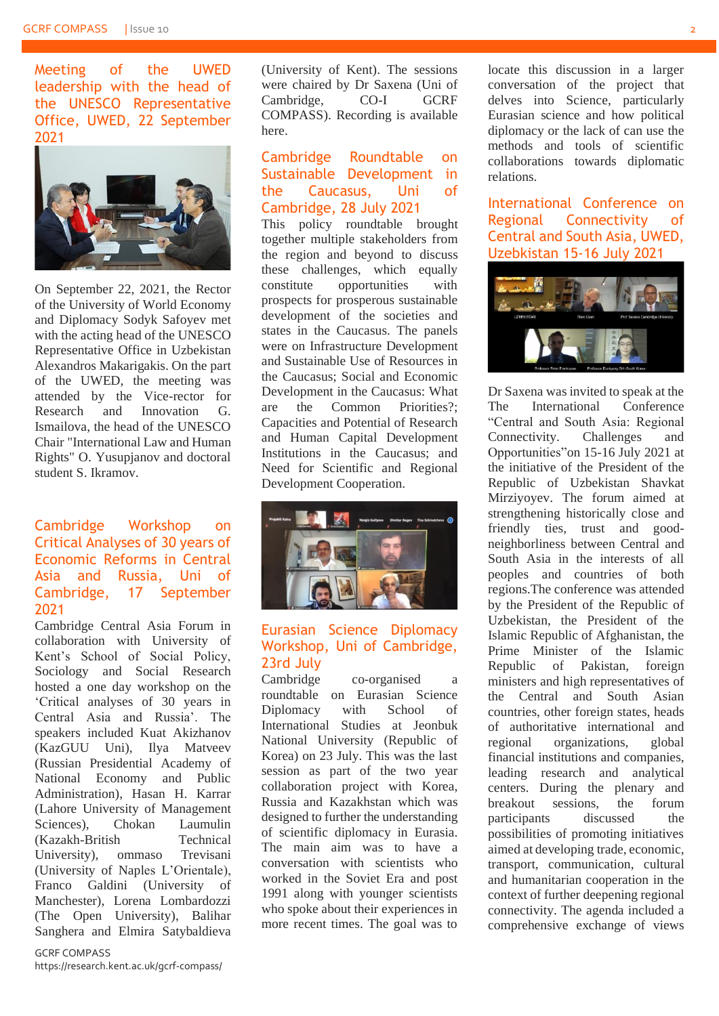Meeting of the UWED leadership with the head of the UNESCO Representative Office, UWED, 22 September 2021



On September 22, 2021, the Rector of the University of World Economy and Diplomacy Sodyk Safoyev met with the acting head of the UNESCO Representative Office in Uzbekistan Alexandros Makarigakis. On the part of the UWED, the meeting was attended by the Vice-rector for Research and Innovation G. Ismailova, the head of the UNESCO Chair "International Law and Human Rights" O. Yusupjanov and doctoral student S. Ikramov.

#### Cambridge Workshop on Critical Analyses of 30 years of Economic Reforms in Central Asia and Russia, Uni of Cambridge, 17 September 2021

Cambridge Central Asia Forum in collaboration with University of Kent's School of Social Policy, Sociology and Social Research hosted a one day workshop on the 'Critical analyses of 30 years in Central Asia and Russia'. The speakers included Kuat Akizhanov (KazGUU Uni), Ilya Matveev (Russian Presidential Academy of National Economy and Public Administration), Hasan H. Karrar (Lahore University of Management Sciences), Chokan Laumulin (Kazakh-British Technical University), ommaso Trevisani (University of Naples L'Orientale), Franco Galdini (University of Manchester), Lorena Lombardozzi (The Open University), Balihar Sanghera and Elmira Satybaldieva

GCRF COMPASS

https://research.kent.ac.uk/gcrf-compass/

(University of Kent). The sessions were chaired by Dr Saxena (Uni of Cambridge, CO-I GCRF COMPASS). Recording is available [here.](https://www.youtube.com/watch?v=fhzEXeWWA_I)

#### Cambridge Roundtable on Sustainable Development in the Caucasus, Uni of Cambridge, 28 July 2021

This policy roundtable brought together multiple stakeholders from the region and beyond to discuss these challenges, which equally constitute opportunities with prospects for prosperous sustainable development of the societies and states in the Caucasus. The panels were on Infrastructure Development and Sustainable Use of Resources in the Caucasus; Social and Economic Development in the Caucasus: What are the Common Priorities? Capacities and Potential of Research and Human Capital Development Institutions in the Caucasus; and Need for Scientific and Regional Development Cooperation.



#### Eurasian Science Diplomacy Workshop, Uni of Cambridge, 23rd July

Cambridge co-organised a roundtable on Eurasian Science Diplomacy with School of International Studies at Jeonbuk National University (Republic of Korea) on 23 July. This was the last session as part of the two year collaboration project with Korea, Russia and Kazakhstan which was designed to further the understanding of scientific diplomacy in Eurasia. The main aim was to have a conversation with scientists who worked in the Soviet Era and post 1991 along with younger scientists who spoke about their experiences in more recent times. The goal was to

locate this discussion in a larger conversation of the project that delves into Science, particularly Eurasian science and how political diplomacy or the lack of can use the methods and tools of scientific collaborations towards diplomatic relations.

International Conference on Regional Connectivity of Central and South Asia, UWED, Uzebkistan 15-16 July 2021



Dr Saxena was invited to speak at the The International Conference "Central and South Asia: Regional Connectivity. Challenges and Opportunities"on 15-16 July 2021 at the initiative of the President of the Republic of Uzbekistan Shavkat Mirziyoyev. The forum aimed at strengthening historically close and friendly ties, trust and goodneighborliness between Central and South Asia in the interests of all peoples and countries of both regions.The conference was attended by the President of the Republic of Uzbekistan, the President of the Islamic Republic of Afghanistan, the Prime Minister of the Islamic Republic of Pakistan, foreign ministers and high representatives of the Central and South Asian countries, other foreign states, heads of authoritative international and regional organizations, global financial institutions and companies, leading research and analytical centers. During the plenary and breakout sessions, the forum participants discussed the possibilities of promoting initiatives aimed at developing trade, economic, transport, communication, cultural and humanitarian cooperation in the context of further deepening regional connectivity. The agenda included a comprehensive exchange of views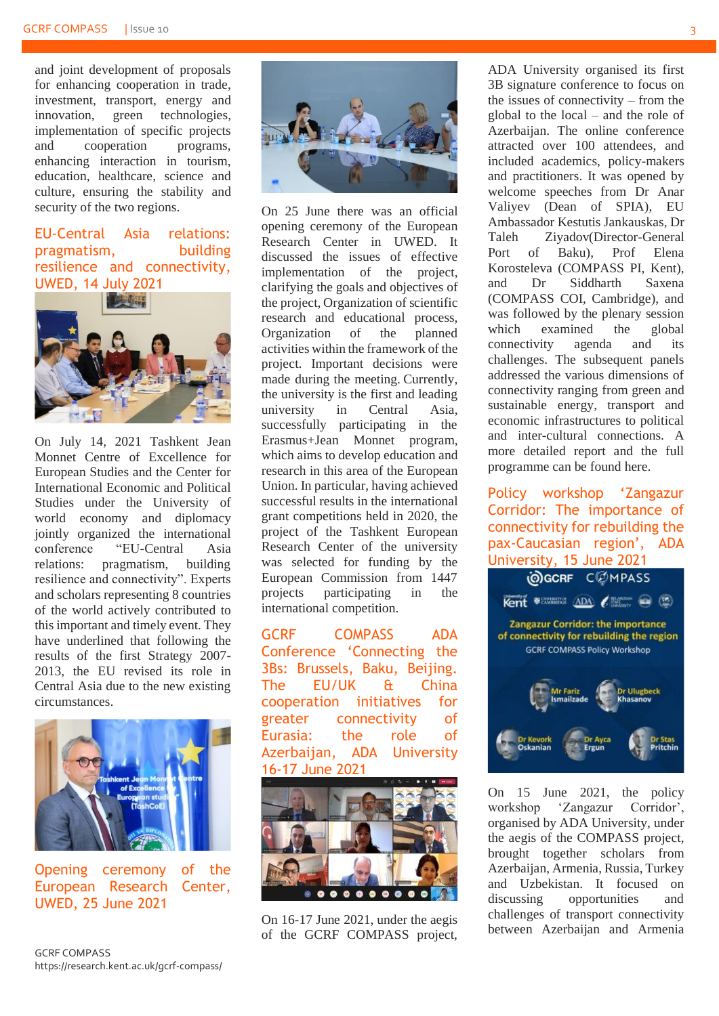and joint development of proposals for enhancing cooperation in trade, investment, transport, energy and innovation, green technologies, implementation of specific projects and cooperation programs, enhancing interaction in tourism, education, healthcare, science and culture, ensuring the stability and security of the two regions.

#### EU-Central Asia relations: pragmatism, building resilience and connectivity, UWED, 14 July 2021



On July 14, 2021 Tashkent Jean Monnet Centre of Excellence for European Studies and the Center for International Economic and Political Studies under the University of world economy and diplomacy jointly organized the international conference "EU-Central Asia relations: pragmatism, building resilience and connectivity". Experts and scholars representing 8 countries of the world actively contributed to this important and timely event. They have underlined that following the results of the first Strategy 2007- 2013, the EU revised its role in Central Asia due to the new existing circumstances.



Opening ceremony of the European Research Center, UWED, 25 June 2021



On 25 June there was an official opening ceremony of the European Research Center in UWED. It discussed the issues of effective implementation of the project, clarifying the goals and objectives of the project, Organization of scientific research and educational process, Organization of the planned activities within the framework of the project. Important decisions were made during the meeting. Currently, the university is the first and leading university in Central Asia, successfully participating in the Erasmus+Jean Monnet program, which aims to develop education and research in this area of the European Union. In particular, having achieved successful results in the international grant competitions held in 2020, the project of the Tashkent European Research Center of the university was selected for funding by the European Commission from 1447 projects participating in the international competition.

GCRF COMPASS ADA Conference 'Connecting the 3Bs: Brussels, Baku, Beijing. The EU/UK & China cooperation initiatives for greater connectivity of Eurasia: the role of Azerbaijan, ADA University 16-17 June 2021



On 16-17 June 2021, under the aegis of the GCRF COMPASS project,

ADA University organised its first 3B signature conference to focus on the issues of connectivity – from the global to the local – and the role of Azerbaijan. The online conference attracted over 100 attendees, and included academics, policy-makers and practitioners. It was opened by welcome speeches from Dr Anar Valiyev (Dean of SPIA), EU Ambassador Kestutis Jankauskas, Dr Taleh Ziyadov(Director-General Port of Baku), Prof Elena Korosteleva (COMPASS PI, Kent), and Dr Siddharth Saxena (COMPASS COI, Cambridge), and was followed by the plenary session which examined the global connectivity agenda and its challenges. The subsequent panels addressed the various dimensions of connectivity ranging from green and sustainable energy, transport and economic infrastructures to political and inter-cultural connections. A more detailed report and the full programme can be found [here.](https://research.kent.ac.uk/gcrf-compass/events/conferences/)

Policy workshop 'Zangazur Corridor: The importance of connectivity for rebuilding the pax-Caucasian region', ADA



On 15 June 2021, the policy workshop 'Zangazur Corridor', organised by ADA University, under the aegis of the COMPASS project, brought together scholars from Azerbaijan, Armenia, Russia, Turkey and Uzbekistan. It focused on discussing opportunities and challenges of transport connectivity between Azerbaijan and Armenia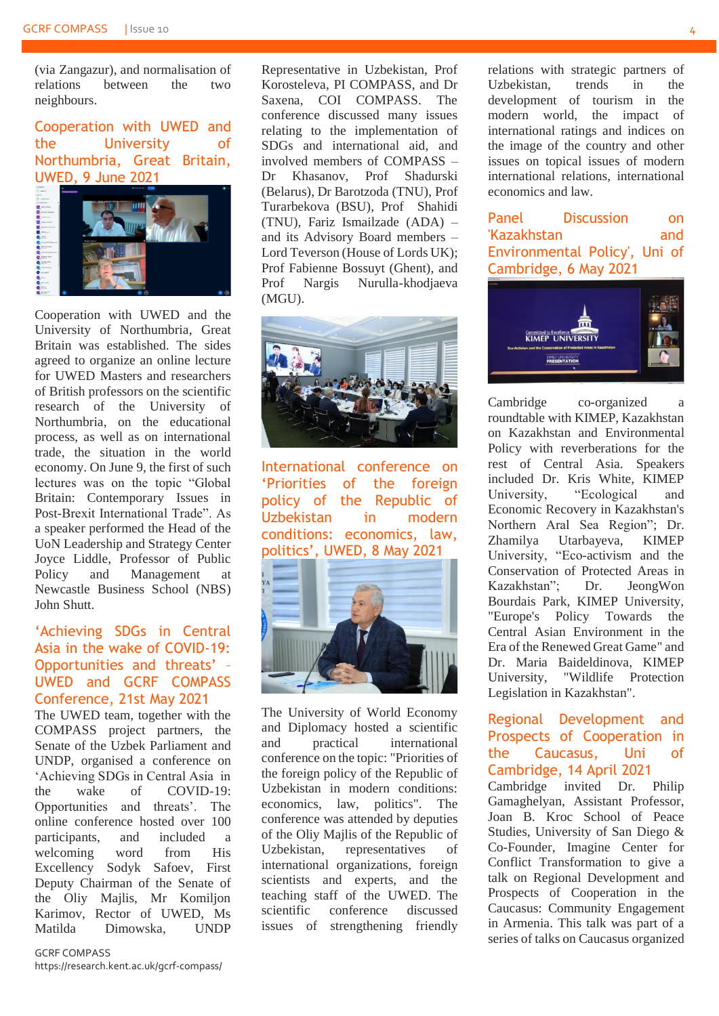(via Zangazur), and normalisation of relations between the two neighbours.

Cooperation with UWED and the University of Northumbria, Great Britain, UWED, 9 June 2021



Cooperation with UWED and the University of Northumbria, Great Britain was established. The sides agreed to organize an online lecture for UWED Masters and researchers of British professors on the scientific research of the University of Northumbria, on the educational process, as well as on international trade, the situation in the world economy. On June 9, the first of such lectures was on the topic "Global Britain: Contemporary Issues in Post-Brexit International Trade". As a speaker performed the Head of the UoN Leadership and Strategy Center Joyce Liddle, Professor of Public Policy and Management at Newcastle Business School (NBS) John Shutt.

#### 'Achieving SDGs in Central Asia in the wake of COVID-19: Opportunities and threats' – UWED and GCRF COMPASS Conference, 21st May 2021

The UWED team, together with the COMPASS project partners, the Senate of the Uzbek Parliament and UNDP, organised a conference on 'Achieving SDGs in Central Asia in the wake of COVID-19: Opportunities and threats'. The online conference hosted over 100 participants, and included a welcoming word from His Excellency Sodyk Safoev, First Deputy Chairman of the Senate of the Oliy Majlis, Mr Komiljon Karimov, Rector of UWED, Ms Matilda Dimowska, UNDP

Representative in Uzbekistan, Prof Korosteleva, PI COMPASS, and Dr Saxena, COI COMPASS. The conference discussed many issues relating to the implementation of SDGs and international aid, and involved members of COMPASS – Dr Khasanov, Prof Shadurski (Belarus), Dr Barotzoda (TNU), Prof Turarbekova (BSU), Prof Shahidi (TNU), Fariz Ismailzade (ADA) – and its Advisory Board members – Lord Teverson (House of Lords UK); Prof Fabienne Bossuyt (Ghent), and Prof Nargis Nurulla-khodjaeva (MGU).



International conference on 'Priorities of the foreign policy of the Republic of Uzbekistan in modern conditions: economics, law, politics', UWED, 8 May 2021



The University of World Economy and Diplomacy hosted a scientific and practical international conference on the topic: "Priorities of the foreign policy of the Republic of Uzbekistan in modern conditions: economics, law, politics". The conference was attended by deputies of the Oliy Majlis of the Republic of Uzbekistan, representatives of international organizations, foreign scientists and experts, and the teaching staff of the UWED. The scientific conference discussed issues of strengthening friendly

relations with strategic partners of Uzbekistan, trends in the development of tourism in the modern world, the impact of international ratings and indices on the image of the country and other issues on topical issues of modern international relations, international economics and law.

Panel Discussion on 'Kazakhstan and Environmental Policy', Uni of Cambridge, 6 May 2021



Cambridge co-organized roundtable with KIMEP, Kazakhstan on Kazakhstan and Environmental Policy with reverberations for the rest of Central Asia. Speakers included Dr. Kris White, KIMEP University, "Ecological and Economic Recovery in Kazakhstan's Northern Aral Sea Region"; Dr. Zhamilya Utarbayeva, KIMEP University, "Eco-activism and the Conservation of Protected Areas in Kazakhstan"; Dr. JeongWon Bourdais Park, KIMEP University, "Europe's Policy Towards the Central Asian Environment in the Era of the Renewed Great Game" and Dr. Maria Baideldinova, KIMEP University, "Wildlife Protection Legislation in Kazakhstan".

#### Regional Development and Prospects of Cooperation in the Caucasus, Uni of Cambridge, 14 April 2021

Cambridge invited Dr. Philip Gamaghelyan, Assistant Professor, Joan B. Kroc School of Peace Studies, University of San Diego & Co-Founder, Imagine Center for Conflict Transformation to give a talk on Regional Development and Prospects of Cooperation in the Caucasus: Community Engagement in Armenia. This talk was part of a series of talks on Caucasus organized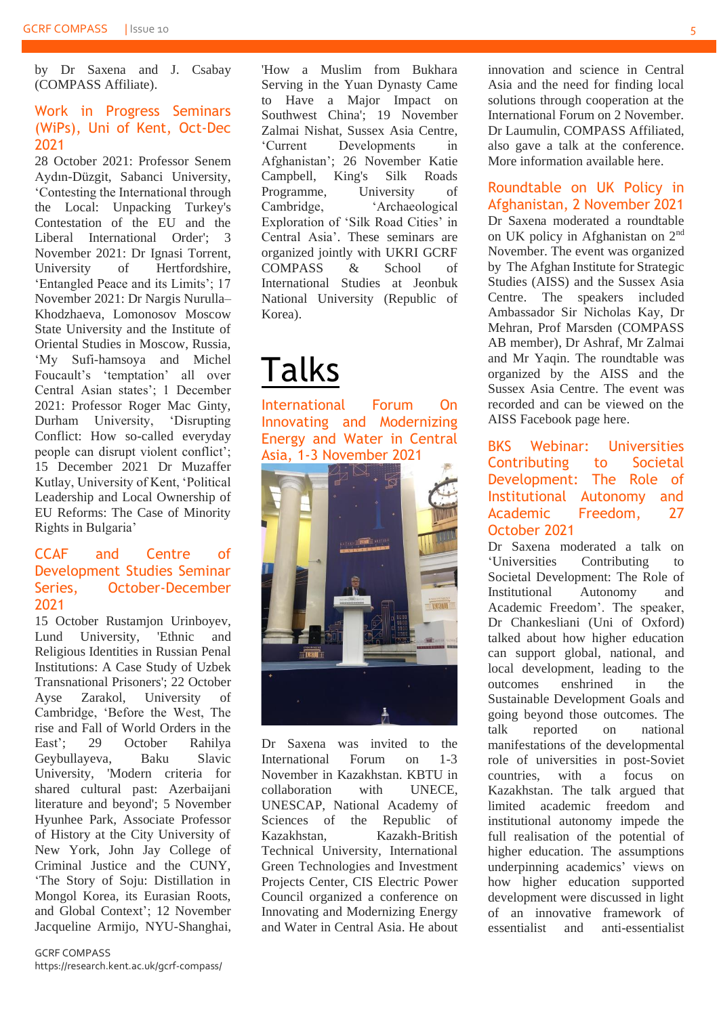by Dr Saxena and J. Csabay (COMPASS Affiliate).

#### Work in Progress Seminars (WiPs), Uni of Kent, Oct-Dec 2021

28 October 2021: Professor Senem Aydın-Düzgit, Sabanci University, 'Contesting the International through the Local: Unpacking Turkey's Contestation of the EU and the Liberal International Order'; 3 November 2021: Dr Ignasi Torrent, University of Hertfordshire, 'Entangled Peace and its Limits'; 17 November 2021: Dr Nargis Nurulla– Khodzhaeva, Lomonosov Moscow State University and the Institute of Oriental Studies in Moscow, Russia, 'My Sufi-hamsoya and Michel Foucault's 'temptation' all over Central Asian states'; 1 December 2021: Professor Roger Mac Ginty, Durham University, 'Disrupting Conflict: How so-called everyday people can disrupt violent conflict'; 15 December 2021 Dr Muzaffer Kutlay, University of Kent, 'Political Leadership and Local Ownership of EU Reforms: The Case of Minority Rights in Bulgaria'

#### CCAF and Centre of Development Studies Seminar Series, October-December 2021

15 October Rustamjon Urinboyev, Lund University, 'Ethnic and Religious Identities in Russian Penal Institutions: A Case Study of Uzbek Transnational Prisoners'; 22 October Ayse Zarakol, University of Cambridge, 'Before the West, The rise and Fall of World Orders in the East'; 29 October Rahilya Geybullayeva, Baku Slavic University, 'Modern criteria for shared cultural past: Azerbaijani literature and beyond'; 5 November Hyunhee Park, Associate Professor of History at the City University of New York, John Jay College of Criminal Justice and the CUNY, 'The Story of Soju: Distillation in Mongol Korea, its Eurasian Roots, and Global Context'; 12 November Jacqueline Armijo, NYU-Shanghai,

'How a Muslim from Bukhara Serving in the Yuan Dynasty Came to Have a Major Impact on Southwest China'; 19 November Zalmai Nishat, Sussex Asia Centre, 'Current Developments in Afghanistan'; 26 November Katie Campbell, King's Silk Roads Programme, University of Cambridge. 'Archaeological Exploration of 'Silk Road Cities' in Central Asia'. These seminars are organized jointly with UKRI GCRF COMPASS & School of International Studies at Jeonbuk National University (Republic of Korea).

## Talks

International Forum On Innovating and Modernizing Energy and Water in Central Asia, 1-3 November 2021



Dr Saxena was invited to the International Forum on 1-3 November in Kazakhstan. KBTU in collaboration with UNECE UNESCAP, National Academy of Sciences of the Republic of Kazakhstan, Kazakh-British Technical University, International Green Technologies and Investment Projects Center, CIS Electric Power Council organized a conference on Innovating and Modernizing Energy and Water in Central Asia. He about innovation and science in Central Asia and the need for finding local solutions through cooperation at the International Forum on 2 November. Dr Laumulin, COMPASS Affiliated, also gave a talk at the conference. More information available [here.](https://kbtu.edu.kz/en/activity/1936-international-forum-on-innovating-and-modernizing-energy-and-water-in-central-asia)

#### Roundtable on UK Policy in Afghanistan, 2 November 2021

Dr Saxena moderated a roundtable on UK policy in Afghanistan on 2nd November. The event was organized by The Afghan Institute for Strategic Studies (AISS) and the Sussex Asia Centre. The speakers included Ambassador Sir Nicholas Kay, Dr Mehran, Prof Marsden (COMPASS AB member), Dr Ashraf, Mr Zalmai and Mr Yaqin. The roundtable was organized by the AISS and the Sussex Asia Centre. The event was recorded and can be viewed on the AISS Facebook page [here.](https://www.facebook.com/watch/?v=402583761359375)

#### BKS Webinar: Universities Contributing to Societal Development: The Role of Institutional Autonomy and Academic Freedom, 27 October 2021

Dr Saxena moderated a talk on 'Universities Contributing to Societal Development: The Role of Institutional Autonomy and Academic Freedom'. The speaker, Dr Chankesliani (Uni of Oxford) talked about how higher education can support global, national, and local development, leading to the outcomes enshrined in the Sustainable Development Goals and going beyond those outcomes. The talk reported on national manifestations of the developmental role of universities in post-Soviet countries, with a focus on Kazakhstan. The talk argued that limited academic freedom and institutional autonomy impede the full realisation of the potential of higher education. The assumptions underpinning academics' views on how higher education supported development were discussed in light of an innovative framework of essentialist and anti-essentialist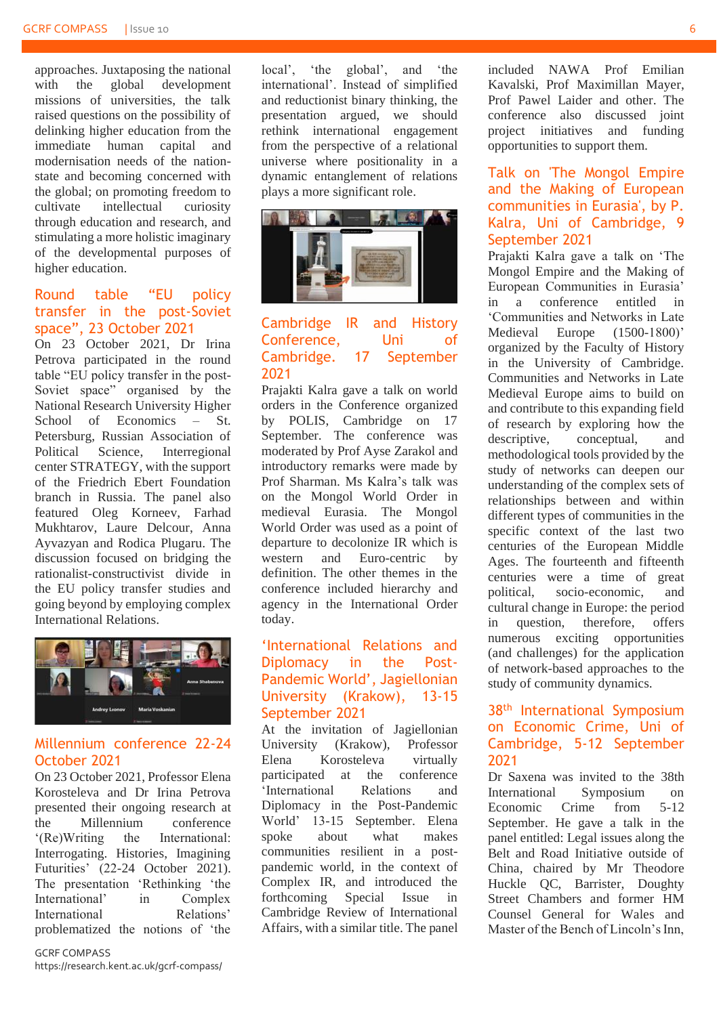approaches. Juxtaposing the national with the global development missions of universities, the talk raised questions on the possibility of delinking higher education from the immediate human capital and modernisation needs of the nationstate and becoming concerned with the global; on promoting freedom to cultivate intellectual curiosity through education and research, and stimulating a more holistic imaginary of the developmental purposes of higher education.

#### Round table "EU policy transfer in the post-Soviet space", 23 October 2021

On 23 October 2021, Dr Irina Petrova participated in the round table "EU policy transfer in the post-Soviet space" organised by the National Research University Higher School of Economics – St. Petersburg, Russian Association of Political Science, Interregional center STRATEGY, with the support of the Friedrich Ebert Foundation branch in Russia. The panel also featured Oleg Korneev, Farhad Mukhtarov, Laure Delcour, Anna Ayvazyan and Rodica Plugaru. The discussion focused on bridging the rationalist-constructivist divide in the EU policy transfer studies and going beyond by employing complex International Relations.



#### Millennium conference 22-24 October 2021

On 23 October 2021, Professor Elena Korosteleva and Dr Irina Petrova presented their ongoing research at the Millennium conference '(Re)Writing the International: Interrogating. Histories, Imagining Futurities' (22-24 October 2021). The presentation 'Rethinking 'the International' in Complex International Relations' problematized the notions of 'the

GCRF COMPASS https://research.kent.ac.uk/gcrf-compass/ local', 'the global', and 'the international'. Instead of simplified and reductionist binary thinking, the presentation argued, we should rethink international engagement from the perspective of a relational universe where positionality in a dynamic entanglement of relations plays a more significant role.



#### Cambridge IR and History Conference, Uni of Cambridge. 17 September 2021

Prajakti Kalra gave a talk on world orders in the Conference organized by POLIS, Cambridge on 17 September. The conference was moderated by Prof Ayse Zarakol and introductory remarks were made by Prof Sharman. Ms Kalra's talk was on the Mongol World Order in medieval Eurasia. The Mongol World Order was used as a point of departure to decolonize IR which is western and Euro-centric by definition. The other themes in the conference included hierarchy and agency in the International Order today.

#### 'International Relations and Diplomacy in the Post-Pandemic World', Jagiellonian University (Krakow), 13-15 September 2021

At the invitation of Jagiellonian University (Krakow), Professor Elena Korosteleva virtually participated at the conference 'International Relations and Diplomacy in the Post-Pandemic World' 13-15 September. Elena spoke about what makes communities resilient in a postpandemic world, in the context of Complex IR, and introduced the forthcoming Special Issue in Cambridge Review of International Affairs, with a similar title. The panel included NAWA Prof Emilian Kavalski, Prof Maximillan Mayer, Prof Pawel Laider and other. The conference also discussed joint project initiatives and funding opportunities to support them.

#### Talk on 'The Mongol Empire and the Making of European communities in Eurasia', by P. Kalra, Uni of Cambridge, 9 September 2021

Prajakti Kalra gave a talk on 'The Mongol Empire and the Making of European Communities in Eurasia' in a conference entitled in 'Communities and Networks in Late Medieval Europe (1500-1800)' organized by the Faculty of History in the University of Cambridge. Communities and Networks in Late Medieval Europe aims to build on and contribute to this expanding field of research by exploring how the descriptive, conceptual, and methodological tools provided by the study of networks can deepen our understanding of the complex sets of relationships between and within different types of communities in the specific context of the last two centuries of the European Middle Ages. The fourteenth and fifteenth centuries were a time of great political, socio-economic, and cultural change in Europe: the period in question, therefore, offers numerous exciting opportunities (and challenges) for the application of network-based approaches to the study of community dynamics.

#### 38<sup>th</sup> International Symposium on Economic Crime, Uni of Cambridge, 5-12 September 2021

Dr Saxena was invited to the 38th International Symposium on Economic Crime from 5-12 September. He gave a talk in the panel entitled: Legal issues along the Belt and Road Initiative outside of China, chaired by Mr Theodore Huckle QC, Barrister, Doughty Street Chambers and former HM Counsel General for Wales and Master of the Bench of Lincoln's Inn,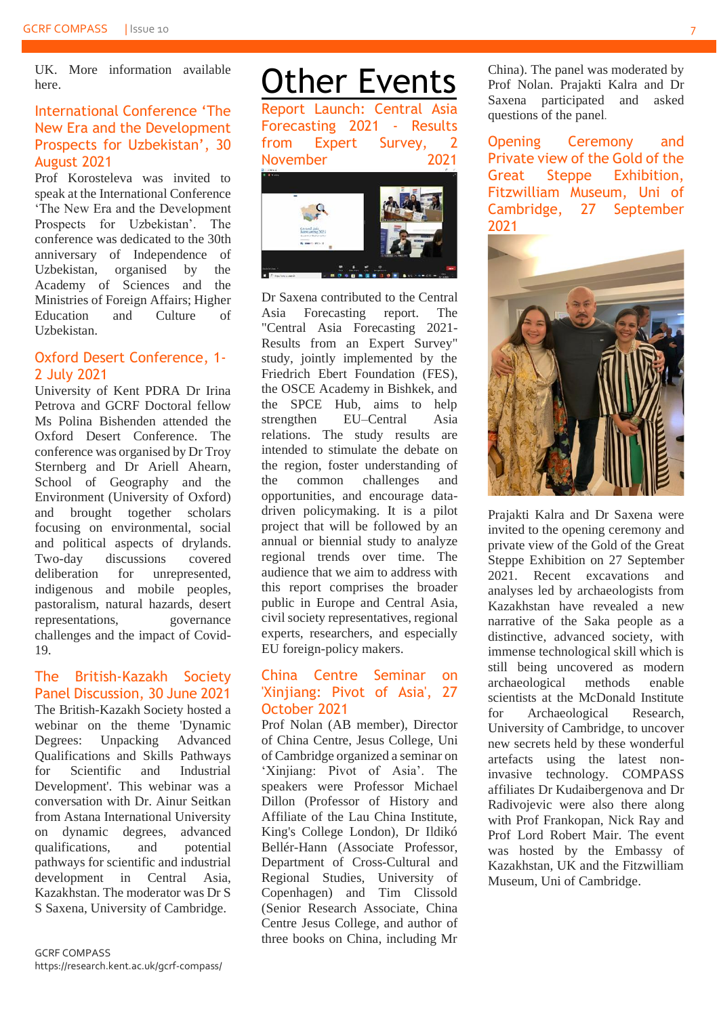UK. More information available [here.](https://www.crimesymposium.org/symposium-2020/2020/9/3/introduction-and-welcome-address)

#### International Conference 'The New Era and the Development Prospects for Uzbekistan', 30 August 2021

Prof Korosteleva was invited to speak at the International Conference 'The New Era and the Development Prospects for Uzbekistan'. The conference was dedicated to the 30th anniversary of Independence of Uzbekistan, organised by the Academy of Sciences and the Ministries of Foreign Affairs; Higher Education and Culture of Uzbekistan.

#### Oxford Desert Conference, 1- 2 July 2021

University of Kent PDRA Dr Irina Petrova and GCRF Doctoral fellow Ms Polina Bishenden attended the Oxford Desert Conference. The conference was organised by Dr Troy Sternberg and Dr Ariell Ahearn, School of Geography and the Environment (University of Oxford) and brought together scholars focusing on environmental, social and political aspects of drylands. Two-day discussions covered deliberation for unrepresented, indigenous and mobile peoples, pastoralism, natural hazards, desert representations, governance challenges and the impact of Covid-19.

#### The British-Kazakh Society Panel Discussion, 30 June 2021

The British-Kazakh Society hosted a webinar on the theme 'Dynamic<br>Degrees: Unpacking Advanced Degrees: Unpacking Qualifications and Skills Pathways for Scientific and Industrial Development'. This webinar was a conversation with Dr. Ainur Seitkan from Astana International University on dynamic degrees, advanced qualifications, and potential pathways for scientific and industrial development in Central Asia, Kazakhstan. The moderator was Dr S S Saxena, University of Cambridge.

**Other Events** Report Launch: Central Asia Forecasting 2021 - Results from Expert Survey, 2 November 2021



Dr Saxena contributed to the Central Asia Forecasting report. The "Central Asia Forecasting 2021- Results from an Expert Survey" study, jointly implemented by the Friedrich Ebert Foundation (FES), the OSCE Academy in Bishkek, and the SPCE Hub, aims to help strengthen EU–Central Asia relations. The study results are intended to stimulate the debate on the region, foster understanding of the common challenges and opportunities, and encourage datadriven policymaking. It is a pilot project that will be followed by an annual or biennial study to analyze regional trends over time. The audience that we aim to address with this report comprises the broader public in Europe and Central Asia, civil society representatives, regional experts, researchers, and especially EU foreign-policy makers.

#### China Centre Seminar on 'Xinjiang: Pivot of Asia', 27 October 2021

Prof Nolan (AB member), Director of China Centre, Jesus College, Uni of Cambridge organized a seminar on 'Xinjiang: Pivot of Asia'. The speakers were Professor Michael Dillon (Professor of History and Affiliate of the Lau China Institute, King's College London), Dr Ildikó Bellér-Hann (Associate Professor, Department of Cross-Cultural and Regional Studies, University of Copenhagen) and Tim Clissold (Senior Research Associate, China Centre Jesus College, and author of three books on China, including Mr China). The panel was moderated by Prof Nolan. Prajakti Kalra and Dr Saxena participated and asked questions of the panel.

Opening Ceremony and Private view of the Gold of the Great Steppe Exhibition, Fitzwilliam Museum, Uni of Cambridge, 27 September 2021



Prajakti Kalra and Dr Saxena were invited to the opening ceremony and private view of the Gold of the Great Steppe Exhibition on 27 September 2021. Recent excavations and analyses led by archaeologists from Kazakhstan have revealed a new narrative of the Saka people as a distinctive, advanced society, with immense technological skill which is still being uncovered as modern archaeological methods enable scientists at the McDonald Institute for Archaeological Research, University of Cambridge, to uncover new secrets held by these wonderful artefacts using the latest noninvasive technology. COMPASS affiliates Dr Kudaibergenova and Dr Radivojevic were also there along with Prof Frankopan, Nick Ray and Prof Lord Robert Mair. The event was hosted by the Embassy of Kazakhstan, UK and the Fitzwilliam Museum, Uni of Cambridge.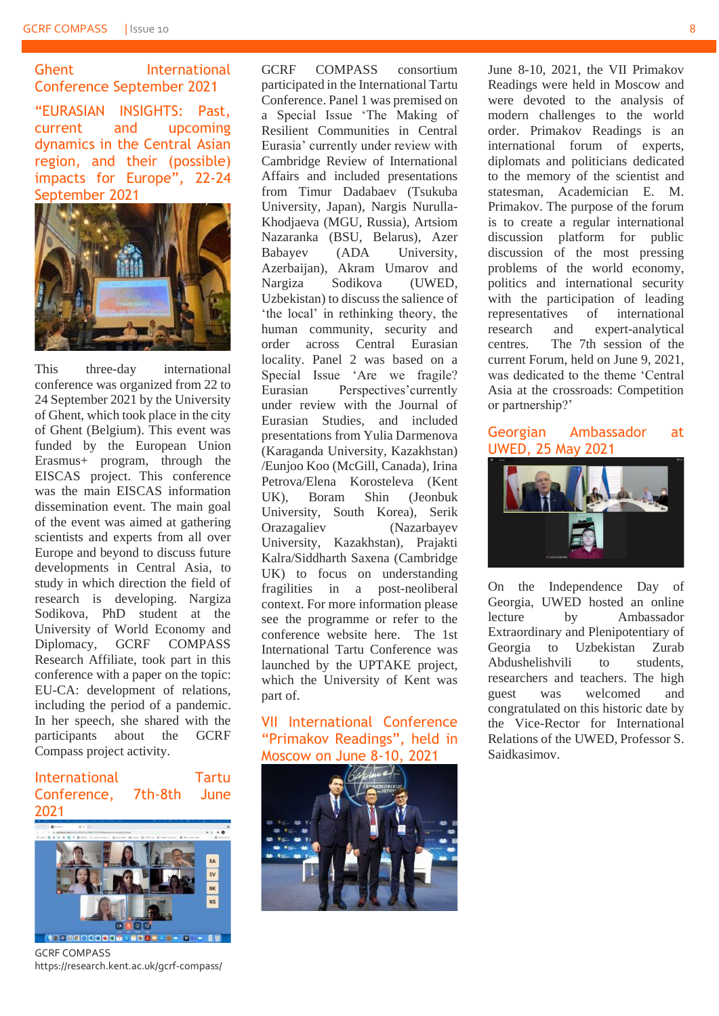Ghent International Conference September 2021 "EURASIAN INSIGHTS: Past, current and upcoming dynamics in the Central Asian region, and their (possible) impacts for Europe", 22-24 September 2021



This three-day international conference was organized from 22 to 24 September 2021 by the University of Ghent, which took place in the city of Ghent (Belgium). This event was funded by the European Union Erasmus+ program, through the EISCAS project. This conference was the main EISCAS information dissemination event. The main goal of the event was aimed at gathering scientists and experts from all over Europe and beyond to discuss future developments in Central Asia, to study in which direction the field of research is developing. Nargiza Sodikova, PhD student at the University of World Economy and Diplomacy, GCRF COMPASS Research Affiliate, took part in this conference with a paper on the topic: EU-CA: development of relations, including the period of a pandemic. In her speech, she shared with the participants about the GCRF Compass project activity.

#### International Tartu Conference, 7th-8th June 2021



GCRF COMPASS https://research.kent.ac.uk/gcrf-compass/

GCRF COMPASS consortium participated in the International Tartu Conference. Panel 1 was premised on a Special Issue 'The Making of Resilient Communities in Central Eurasia' currently under review with Cambridge Review of International Affairs and included presentations from Timur Dadabaev (Tsukuba University, Japan), Nargis Nurulla-Khodjaeva (MGU, Russia), Artsiom Nazaranka (BSU, Belarus), Azer Babayev (ADA University, Azerbaijan), Akram Umarov and Nargiza Sodikova (UWED, Uzbekistan) to discuss the salience of 'the local' in rethinking theory, the human community, security and order across Central Eurasian locality. Panel 2 was based on a Special Issue 'Are we fragile? Eurasian Perspectives'currently under review with the Journal of Eurasian Studies, and included presentations from Yulia Darmenova (Karaganda University, Kazakhstan) /Eunjoo Koo (McGill, Canada), Irina Petrova/Elena Korosteleva (Kent UK), Boram Shin (Jeonbuk University, South Korea), Serik Orazagaliev (Nazarbayev University, Kazakhstan), Prajakti Kalra/Siddharth Saxena (Cambridge UK) to focus on understanding fragilities in a post-neoliberal context. For more information please see the programme or refer to the conference website here. The 1st International Tartu Conference was launched by the UPTAKE project, which the University of Kent was part of.

VII International Conference "Primakov Readings", held in Moscow on June 8-10, 2021



June 8-10, 2021, the VII Primakov Readings were held in Moscow and were devoted to the analysis of modern challenges to the world order. Primakov Readings is an international forum of experts, diplomats and politicians dedicated to the memory of the scientist and statesman, Academician E. M. Primakov. The purpose of the forum is to create a regular international discussion platform for public discussion of the most pressing problems of the world economy, politics and international security with the participation of leading representatives of international research and expert-analytical centres. The 7th session of the current Forum, held on June 9, 2021, was dedicated to the theme 'Central Asia at the crossroads: Competition or partnership?'

#### Georgian Ambassador at UWED, 25 May 2021



On the Independence Day of Georgia, UWED hosted an online lecture by Ambassador Extraordinary and Plenipotentiary of Georgia to Uzbekistan Zurab Abdushelishvili to students, researchers and teachers. The high guest was welcomed and congratulated on this historic date by the Vice-Rector for International Relations of the UWED, Professor S. Saidkasimov.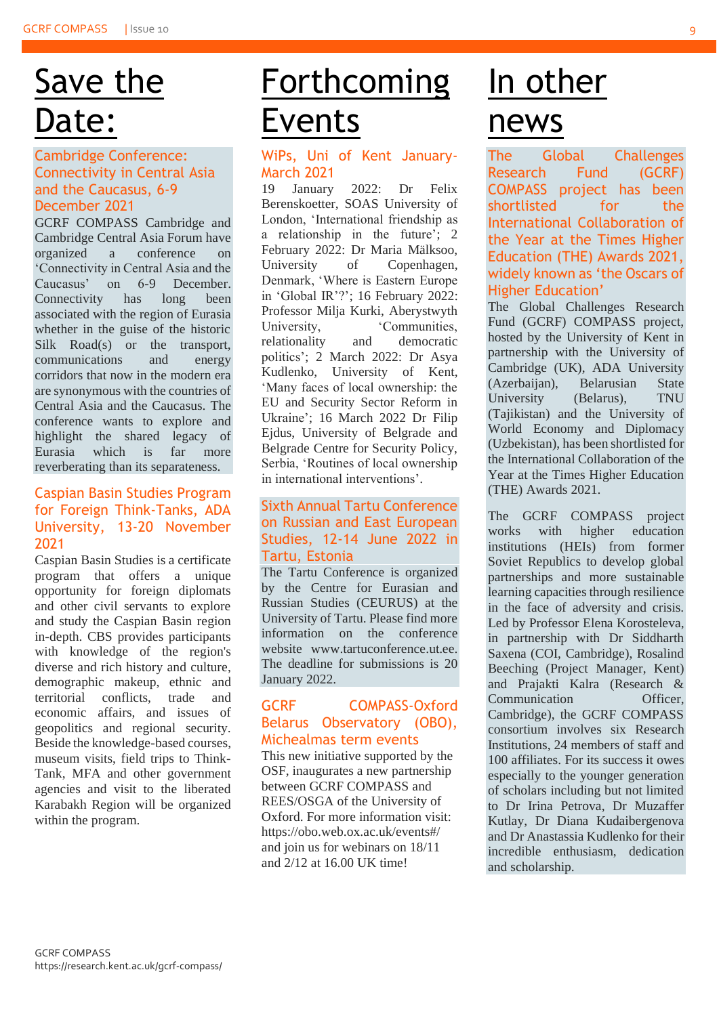### Save the Date:

#### Cambridge Conference: Connectivity in Central Asia and the Caucasus, 6-9 December 2021

GCRF COMPASS Cambridge and Cambridge Central Asia Forum have organized a conference on 'Connectivity in Central Asia and the Caucasus' on 6-9 December. Connectivity has long been associated with the region of Eurasia whether in the guise of the historic Silk Road(s) or the transport, communications and energy corridors that now in the modern era are synonymous with the countries of Central Asia and the Caucasus. The conference wants to explore and highlight the shared legacy of Eurasia which is far more reverberating than its separateness.

#### Caspian Basin Studies Program for Foreign Think-Tanks, ADA University, 13-20 November 2021

Caspian Basin Studies is a certificate program that offers a unique opportunity for foreign diplomats and other civil servants to explore and study the Caspian Basin region in-depth. CBS provides participants with knowledge of the region's diverse and rich history and culture, demographic makeup, ethnic and territorial conflicts, trade and economic affairs, and issues of geopolitics and regional security. Beside the knowledge-based courses, museum visits, field trips to Think-Tank, MFA and other government agencies and visit to the liberated Karabakh Region will be organized within the program.

### Forthcoming Events

#### WiPs, Uni of Kent January-March 2021

19 January 2022: Dr Felix Berenskoetter, SOAS University of London, 'International friendship as a relationship in the future'; 2 February 2022: Dr Maria Mälksoo, University of Copenhagen, Denmark, 'Where is Eastern Europe in 'Global IR'?'; 16 February 2022: Professor Milja Kurki, Aberystwyth University, 'Communities, relationality and democratic politics'; 2 March 2022: Dr Asya Kudlenko, University of Kent, 'Many faces of local ownership: the EU and Security Sector Reform in Ukraine'; 16 March 2022 Dr Filip Ejdus, University of Belgrade and Belgrade Centre for Security Policy, Serbia, 'Routines of local ownership in international interventions'.

#### Sixth Annual Tartu Conference on Russian and East European Studies, 12-14 June 2022 in Tartu, Estonia

The Tartu Conference is organized by the Centre for Eurasian and Russian Studies (CEURUS) at the University of Tartu. Please find more information on the conference website www.tartuconference.ut.ee. The deadline for submissions is 20 January 2022.

#### GCRF COMPASS-Oxford Belarus Observatory (OBO), Michealmas term events

This new initiative supported by the OSF, inaugurates a new partnership between GCRF COMPASS and REES/OSGA of the University of Oxford. For more information visit: <https://obo.web.ox.ac.uk/events#/> and join us for webinars on 18/11 and 2/12 at 16.00 UK time!

### In other news

The Global Challenges Research Fund (GCRF) COMPASS project has been shortlisted for the International Collaboration of the Year at the Times Higher Education (THE) Awards 2021, widely known as 'the Oscars of Higher Education'

The Global Challenges Research Fund (GCRF) COMPASS project, hosted by the University of Kent in partnership with the University of Cambridge (UK), ADA University (Azerbaijan), Belarusian State University (Belarus), TNU (Tajikistan) and the University of World Economy and Diplomacy (Uzbekistan), has been shortlisted for the International Collaboration of the Year at the Times Higher Education (THE) Awards 2021.

The GCRF COMPASS project works with higher education institutions (HEIs) from former Soviet Republics to develop global partnerships and more sustainable learning capacities through resilience in the face of adversity and crisis. Led by Professor Elena Korosteleva, in partnership with Dr Siddharth Saxena (COI, Cambridge), Rosalind Beeching (Project Manager, Kent) and Prajakti Kalra (Research & Communication Officer, Cambridge), the GCRF COMPASS consortium involves six Research Institutions, 24 members of staff and 100 affiliates. For its success it owes especially to the younger generation of scholars including but not limited to Dr Irina Petrova, Dr Muzaffer Kutlay, Dr Diana Kudaibergenova and Dr Anastassia Kudlenko for their incredible enthusiasm, dedication and scholarship.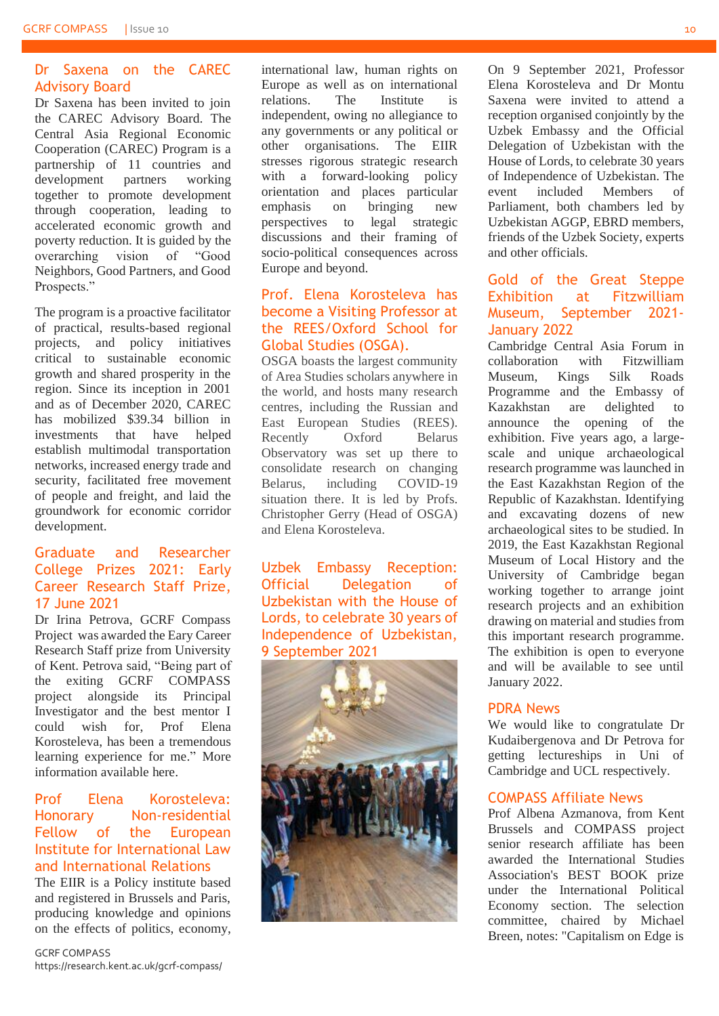#### Dr Saxena on the CAREC Advisory Board

Dr Saxena has been invited to join the CAREC Advisory Board. The Central Asia Regional Economic Cooperation (CAREC) Program is a partnership of 11 countries and development partners working together to promote development through cooperation, leading to accelerated economic growth and poverty reduction. It is guided by the overarching vision of "Good Neighbors, Good Partners, and Good Prospects."

The program is a proactive facilitator of practical, results-based regional projects, and policy initiatives critical to sustainable economic growth and shared prosperity in the region. Since its inception in 2001 and as of December 2020, CAREC has mobilized \$39.34 billion in investments that have helped establish multimodal transportation networks, increased energy trade and security, facilitated free movement of people and freight, and laid the groundwork for economic corridor development.

#### Graduate and Researcher College Prizes 2021: Early Career Research Staff Prize, 17 June 2021

Dr Irina Petrova, GCRF Compass Project was awarded the Eary Career Research Staff prize from University of Kent. Petrova said, "Being part of the exiting GCRF COMPASS project alongside its Principal Investigator and the best mentor I could wish for Prof Elena Korosteleva, has been a tremendous learning experience for me." More information available [here.](https://www.kent.ac.uk/graduate-researcher-college/news/1985/graduate-and-researcher-college-prizes-2021)

#### Prof Elena Korosteleva: Honorary Non-residential Fellow of the European Institute for International Law and International Relations

The EIIR is a Policy institute based and registered in Brussels and Paris, producing knowledge and opinions on the effects of politics, economy, international law, human rights on Europe as well as on international relations. The Institute is independent, owing no allegiance to any governments or any political or other organisations. The EIIR stresses rigorous strategic research with a forward-looking policy orientation and places particular emphasis on bringing new perspectives to legal strategic discussions and their framing of socio-political consequences across Europe and beyond.

#### Prof. Elena Korosteleva has become a Visiting Professor at the REES/Oxford School for Global Studies (OSGA).

OSGA boasts the largest community of Area Studies scholars anywhere in the world, and hosts many research centres, including the Russian and East European Studies (REES). Recently Oxford Belarus Observatory was set up there to consolidate research on changing Belarus, including COVID-19 situation there. It is led by Profs. Christopher Gerry (Head of OSGA) and Elena Korosteleva.

Uzbek Embassy Reception: Official Delegation of Uzbekistan with the House of Lords, to celebrate 30 years of Independence of Uzbekistan, 9 September 2021



On 9 September 2021, Professor Elena Korosteleva and Dr Montu Saxena were invited to attend a reception organised conjointly by the Uzbek Embassy and the Official Delegation of Uzbekistan with the House of Lords, to celebrate 30 years of Independence of Uzbekistan. The event included Members of Parliament, both chambers led by Uzbekistan AGGP, EBRD members, friends of the Uzbek Society, experts and other officials.

#### Gold of the Great Steppe Exhibition at Fitzwilliam Museum, September 2021- January 2022

Cambridge Central Asia Forum in collaboration with Fitzwilliam Museum, Kings Silk Roads Programme and the Embassy of Kazakhstan are delighted to announce the opening of the exhibition. Five years ago, a largescale and unique archaeological research programme was launched in the East Kazakhstan Region of the Republic of Kazakhstan. Identifying and excavating dozens of new archaeological sites to be studied. In 2019, the East Kazakhstan Regional Museum of Local History and the University of Cambridge began working together to arrange joint research projects and an exhibition drawing on material and studies from this important research programme. The exhibition is open to everyone and will be available to see until January 2022.

#### PDRA News

We would like to congratulate Dr Kudaibergenova and Dr Petrova for getting lectureships in Uni of Cambridge and UCL respectively.

#### COMPASS Affiliate News

Prof Albena Azmanova, from Kent Brussels and COMPASS project senior research affiliate has been awarded the International Studies Association's BEST BOOK prize under the International Political Economy section. The selection committee, chaired by Michael Breen, notes: "Capitalism on Edge is